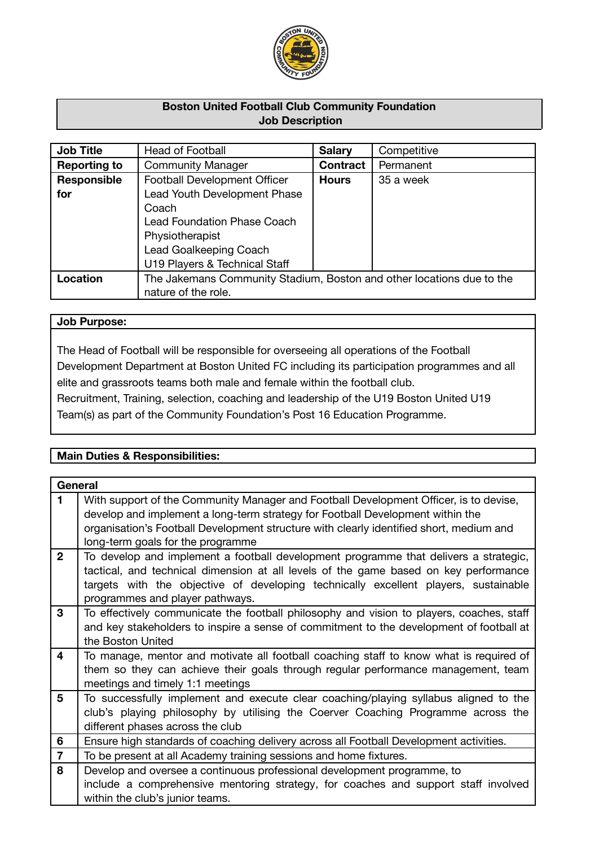

# **Boston United Football Club Community Foundation Job Description**

| <b>Job Title</b>    | Head of Football                                                      | <b>Salary</b>   | Competitive |
|---------------------|-----------------------------------------------------------------------|-----------------|-------------|
| <b>Reporting to</b> | <b>Community Manager</b>                                              | <b>Contract</b> | Permanent   |
| Responsible         | Football Development Officer                                          | <b>Hours</b>    | 35 a week   |
| for                 | Lead Youth Development Phase                                          |                 |             |
|                     | Coach                                                                 |                 |             |
|                     | <b>Lead Foundation Phase Coach</b>                                    |                 |             |
|                     | Physiotherapist                                                       |                 |             |
|                     | Lead Goalkeeping Coach                                                |                 |             |
|                     | U19 Players & Technical Staff                                         |                 |             |
| Location            | The Jakemans Community Stadium, Boston and other locations due to the |                 |             |
|                     | nature of the role.                                                   |                 |             |

## **Job Purpose:**

The Head of Football will be responsible for overseeing all operations of the Football Development Department at Boston United FC including its participation programmes and all elite and grassroots teams both male and female within the football club.

Recruitment, Training, selection, coaching and leadership of the U19 Boston United U19 Team(s) as part of the Community Foundation's Post 16 Education Programme.

# **Main Duties & Responsibilities:**

| General        |                                                                                                                                                                                                                                                                                                         |
|----------------|---------------------------------------------------------------------------------------------------------------------------------------------------------------------------------------------------------------------------------------------------------------------------------------------------------|
| 1.             | With support of the Community Manager and Football Development Officer, is to devise,<br>develop and implement a long-term strategy for Football Development within the<br>organisation's Football Development structure with clearly identified short, medium and<br>long-term goals for the programme |
| $\overline{2}$ | To develop and implement a football development programme that delivers a strategic,<br>tactical, and technical dimension at all levels of the game based on key performance<br>targets with the objective of developing technically excellent players, sustainable<br>programmes and player pathways.  |
| 3              | To effectively communicate the football philosophy and vision to players, coaches, staff<br>and key stakeholders to inspire a sense of commitment to the development of football at<br>the Boston United                                                                                                |
| $\overline{4}$ | To manage, mentor and motivate all football coaching staff to know what is required of<br>them so they can achieve their goals through regular performance management, team<br>meetings and timely 1:1 meetings                                                                                         |
| $5\phantom{1}$ | To successfully implement and execute clear coaching/playing syllabus aligned to the<br>club's playing philosophy by utilising the Coerver Coaching Programme across the<br>different phases across the club                                                                                            |
| 6              | Ensure high standards of coaching delivery across all Football Development activities.                                                                                                                                                                                                                  |
| $\overline{7}$ | To be present at all Academy training sessions and home fixtures.                                                                                                                                                                                                                                       |
| 8              | Develop and oversee a continuous professional development programme, to                                                                                                                                                                                                                                 |
|                | include a comprehensive mentoring strategy, for coaches and support staff involved<br>within the club's junior teams.                                                                                                                                                                                   |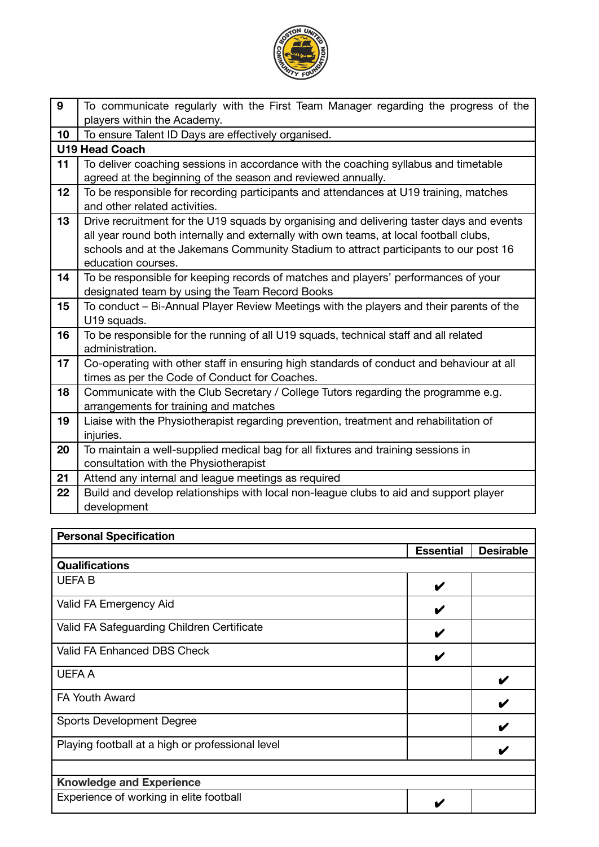

| 9  | To communicate regularly with the First Team Manager regarding the progress of the       |
|----|------------------------------------------------------------------------------------------|
|    | players within the Academy.                                                              |
| 10 | To ensure Talent ID Days are effectively organised.                                      |
|    | <b>U19 Head Coach</b>                                                                    |
| 11 | To deliver coaching sessions in accordance with the coaching syllabus and timetable      |
|    | agreed at the beginning of the season and reviewed annually.                             |
| 12 | To be responsible for recording participants and attendances at U19 training, matches    |
|    | and other related activities.                                                            |
| 13 | Drive recruitment for the U19 squads by organising and delivering taster days and events |
|    | all year round both internally and externally with own teams, at local football clubs,   |
|    | schools and at the Jakemans Community Stadium to attract participants to our post 16     |
|    | education courses.                                                                       |
| 14 | To be responsible for keeping records of matches and players' performances of your       |
|    | designated team by using the Team Record Books                                           |
| 15 | To conduct - Bi-Annual Player Review Meetings with the players and their parents of the  |
|    | U19 squads.                                                                              |
| 16 | To be responsible for the running of all U19 squads, technical staff and all related     |
|    | administration.                                                                          |
| 17 | Co-operating with other staff in ensuring high standards of conduct and behaviour at all |
|    | times as per the Code of Conduct for Coaches.                                            |
| 18 | Communicate with the Club Secretary / College Tutors regarding the programme e.g.        |
|    | arrangements for training and matches                                                    |
| 19 | Liaise with the Physiotherapist regarding prevention, treatment and rehabilitation of    |
|    | injuries.                                                                                |
| 20 | To maintain a well-supplied medical bag for all fixtures and training sessions in        |
|    | consultation with the Physiotherapist                                                    |
| 21 | Attend any internal and league meetings as required                                      |
| 22 | Build and develop relationships with local non-league clubs to aid and support player    |
|    | development                                                                              |

| <b>Personal Specification</b>                    |                  |                  |
|--------------------------------------------------|------------------|------------------|
|                                                  | <b>Essential</b> | <b>Desirable</b> |
| <b>Qualifications</b>                            |                  |                  |
| <b>UEFAB</b>                                     | V                |                  |
| Valid FA Emergency Aid                           | V                |                  |
| Valid FA Safeguarding Children Certificate       | V                |                  |
| Valid FA Enhanced DBS Check                      | V                |                  |
| <b>UEFA A</b>                                    |                  |                  |
| <b>FA Youth Award</b>                            |                  | V                |
| <b>Sports Development Degree</b>                 |                  | V                |
| Playing football at a high or professional level |                  |                  |
|                                                  |                  |                  |
| <b>Knowledge and Experience</b>                  |                  |                  |
| Experience of working in elite football          |                  |                  |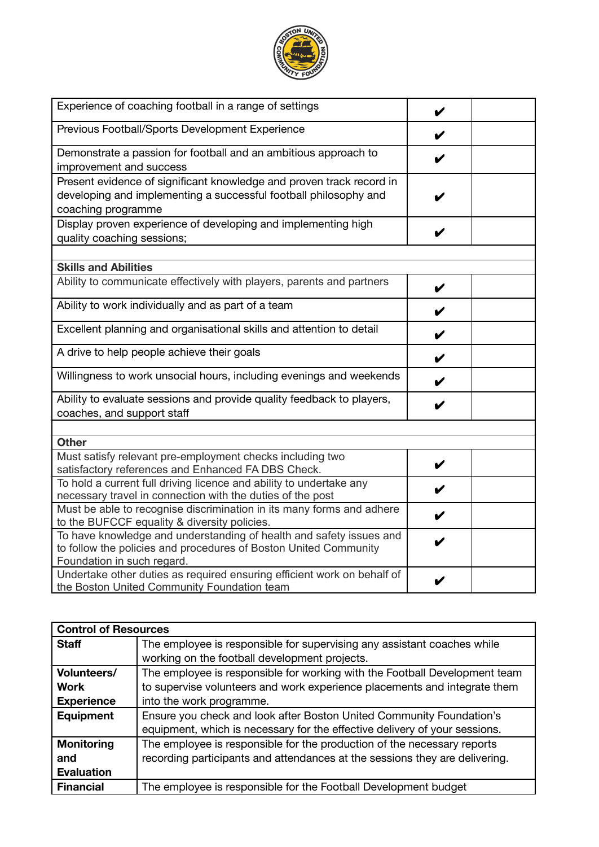

| Experience of coaching football in a range of settings                                                                                                                |   |  |
|-----------------------------------------------------------------------------------------------------------------------------------------------------------------------|---|--|
| Previous Football/Sports Development Experience                                                                                                                       | V |  |
| Demonstrate a passion for football and an ambitious approach to<br>improvement and success                                                                            |   |  |
| Present evidence of significant knowledge and proven track record in<br>developing and implementing a successful football philosophy and<br>coaching programme        |   |  |
| Display proven experience of developing and implementing high<br>quality coaching sessions;                                                                           | v |  |
| <b>Skills and Abilities</b>                                                                                                                                           |   |  |
| Ability to communicate effectively with players, parents and partners                                                                                                 | V |  |
| Ability to work individually and as part of a team                                                                                                                    | V |  |
| Excellent planning and organisational skills and attention to detail                                                                                                  | V |  |
| A drive to help people achieve their goals                                                                                                                            | V |  |
| Willingness to work unsocial hours, including evenings and weekends                                                                                                   | V |  |
| Ability to evaluate sessions and provide quality feedback to players,<br>coaches, and support staff                                                                   | V |  |
|                                                                                                                                                                       |   |  |
| <b>Other</b><br>Must satisfy relevant pre-employment checks including two<br>satisfactory references and Enhanced FA DBS Check.                                       | V |  |
| To hold a current full driving licence and ability to undertake any<br>necessary travel in connection with the duties of the post                                     | V |  |
| Must be able to recognise discrimination in its many forms and adhere<br>to the BUFCCF equality & diversity policies.                                                 | V |  |
| To have knowledge and understanding of health and safety issues and<br>to follow the policies and procedures of Boston United Community<br>Foundation in such regard. | V |  |
| Undertake other duties as required ensuring efficient work on behalf of<br>the Boston United Community Foundation team                                                | V |  |

| <b>Control of Resources</b> |                                                                             |  |
|-----------------------------|-----------------------------------------------------------------------------|--|
| <b>Staff</b>                | The employee is responsible for supervising any assistant coaches while     |  |
|                             | working on the football development projects.                               |  |
| Volunteers/                 | The employee is responsible for working with the Football Development team  |  |
| <b>Work</b>                 | to supervise volunteers and work experience placements and integrate them   |  |
| <b>Experience</b>           | into the work programme.                                                    |  |
| <b>Equipment</b>            | Ensure you check and look after Boston United Community Foundation's        |  |
|                             | equipment, which is necessary for the effective delivery of your sessions.  |  |
| <b>Monitoring</b>           | The employee is responsible for the production of the necessary reports     |  |
| and                         | recording participants and attendances at the sessions they are delivering. |  |
| <b>Evaluation</b>           |                                                                             |  |
| <b>Financial</b>            | The employee is responsible for the Football Development budget             |  |